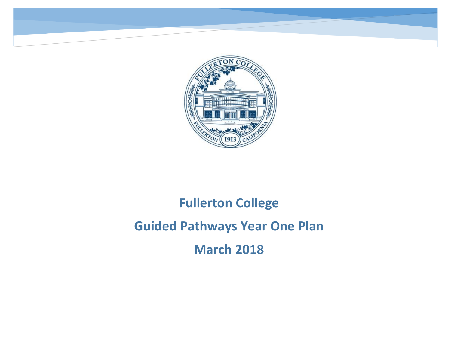

**Fullerton College**

## **Fullerton College Guided Pathways Year One Plan March 2018**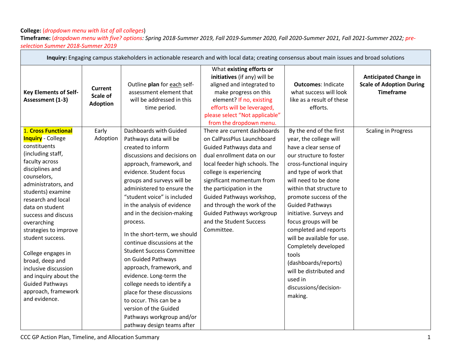## **College:** (*dropdown menu with list of all colleges*) **Timeframe:** (*dropdown menu with five? options: Spring 2018-Summer 2019, Fall 2019-Summer 2020, Fall 2020-Summer 2021, Fall 2021-Summer 2022; preselection Summer 2018-Summer 2019*

| Inquiry: Engaging campus stakeholders in actionable research and with local data; creating consensus about main issues and broad solutions                                                                                                                                                                                                                                                                                                                                   |                                               |                                                                                                                                                                                                                                                                                                                                                                                                                                                                                                                                                                                                                                                                                              |                                                                                                                                                                                                                                                                                                                                                                                      |                                                                                                                                                                                                                                                                                                                                                                                                                                                                                                                 |                                                                                     |  |  |
|------------------------------------------------------------------------------------------------------------------------------------------------------------------------------------------------------------------------------------------------------------------------------------------------------------------------------------------------------------------------------------------------------------------------------------------------------------------------------|-----------------------------------------------|----------------------------------------------------------------------------------------------------------------------------------------------------------------------------------------------------------------------------------------------------------------------------------------------------------------------------------------------------------------------------------------------------------------------------------------------------------------------------------------------------------------------------------------------------------------------------------------------------------------------------------------------------------------------------------------------|--------------------------------------------------------------------------------------------------------------------------------------------------------------------------------------------------------------------------------------------------------------------------------------------------------------------------------------------------------------------------------------|-----------------------------------------------------------------------------------------------------------------------------------------------------------------------------------------------------------------------------------------------------------------------------------------------------------------------------------------------------------------------------------------------------------------------------------------------------------------------------------------------------------------|-------------------------------------------------------------------------------------|--|--|
| <b>Key Elements of Self-</b><br>Assessment (1-3)                                                                                                                                                                                                                                                                                                                                                                                                                             | <b>Current</b><br>Scale of<br><b>Adoption</b> | Outline plan for each self-<br>assessment element that<br>will be addressed in this<br>time period.                                                                                                                                                                                                                                                                                                                                                                                                                                                                                                                                                                                          | What existing efforts or<br>initiatives (if any) will be<br>aligned and integrated to<br>make progress on this<br>element? If no, existing<br>efforts will be leveraged,<br>please select "Not applicable"<br>from the dropdown menu.                                                                                                                                                | <b>Outcomes: Indicate</b><br>what success will look<br>like as a result of these<br>efforts.                                                                                                                                                                                                                                                                                                                                                                                                                    | <b>Anticipated Change in</b><br><b>Scale of Adoption During</b><br><b>Timeframe</b> |  |  |
| 1. Cross Functional<br><b>Inquiry</b> - College<br>constituents<br>(including staff,<br>faculty across<br>disciplines and<br>counselors,<br>administrators, and<br>students) examine<br>research and local<br>data on student<br>success and discuss<br>overarching<br>strategies to improve<br>student success.<br>College engages in<br>broad, deep and<br>inclusive discussion<br>and inquiry about the<br><b>Guided Pathways</b><br>approach, framework<br>and evidence. | Early<br>Adoption                             | Dashboards with Guided<br>Pathways data will be<br>created to inform<br>discussions and decisions on<br>approach, framework, and<br>evidence. Student focus<br>groups and surveys will be<br>administered to ensure the<br>"student voice" is included<br>in the analysis of evidence<br>and in the decision-making<br>process.<br>In the short-term, we should<br>continue discussions at the<br><b>Student Success Committee</b><br>on Guided Pathways<br>approach, framework, and<br>evidence. Long-term the<br>college needs to identify a<br>place for these discussions<br>to occur. This can be a<br>version of the Guided<br>Pathways workgroup and/or<br>pathway design teams after | There are current dashboards<br>on CalPassPlus Launchboard<br>Guided Pathways data and<br>dual enrollment data on our<br>local feeder high schools. The<br>college is experiencing<br>significant momentum from<br>the participation in the<br>Guided Pathways workshop,<br>and through the work of the<br><b>Guided Pathways workgroup</b><br>and the Student Success<br>Committee. | By the end of the first<br>year, the college will<br>have a clear sense of<br>our structure to foster<br>cross-functional inquiry<br>and type of work that<br>will need to be done<br>within that structure to<br>promote success of the<br><b>Guided Pathways</b><br>initiative. Surveys and<br>focus groups will be<br>completed and reports<br>will be available for use.<br>Completely developed<br>tools<br>(dashboards/reports)<br>will be distributed and<br>used in<br>discussions/decision-<br>making. | <b>Scaling in Progress</b>                                                          |  |  |

۰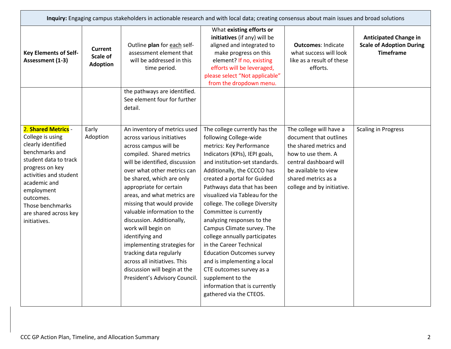|                                                                                                                                                                                                                                                               | Inquiry: Engaging campus stakeholders in actionable research and with local data; creating consensus about main issues and broad solutions |                                                                                                                                                                                                                                                                                                                                                                                                                                                                                                                                                                       |                                                                                                                                                                                                                                                                                                                                                                                                                                                                                                                                                                                                                                                            |                                                                                                                                                                                                          |                                                                                     |  |  |
|---------------------------------------------------------------------------------------------------------------------------------------------------------------------------------------------------------------------------------------------------------------|--------------------------------------------------------------------------------------------------------------------------------------------|-----------------------------------------------------------------------------------------------------------------------------------------------------------------------------------------------------------------------------------------------------------------------------------------------------------------------------------------------------------------------------------------------------------------------------------------------------------------------------------------------------------------------------------------------------------------------|------------------------------------------------------------------------------------------------------------------------------------------------------------------------------------------------------------------------------------------------------------------------------------------------------------------------------------------------------------------------------------------------------------------------------------------------------------------------------------------------------------------------------------------------------------------------------------------------------------------------------------------------------------|----------------------------------------------------------------------------------------------------------------------------------------------------------------------------------------------------------|-------------------------------------------------------------------------------------|--|--|
| <b>Key Elements of Self-</b><br>Assessment (1-3)                                                                                                                                                                                                              | Current<br>Scale of<br><b>Adoption</b>                                                                                                     | Outline plan for each self-<br>assessment element that<br>will be addressed in this<br>time period.                                                                                                                                                                                                                                                                                                                                                                                                                                                                   | What existing efforts or<br>initiatives (if any) will be<br>aligned and integrated to<br>make progress on this<br>element? If no, existing<br>efforts will be leveraged,<br>please select "Not applicable"<br>from the dropdown menu.                                                                                                                                                                                                                                                                                                                                                                                                                      | <b>Outcomes: Indicate</b><br>what success will look<br>like as a result of these<br>efforts.                                                                                                             | <b>Anticipated Change in</b><br><b>Scale of Adoption During</b><br><b>Timeframe</b> |  |  |
|                                                                                                                                                                                                                                                               |                                                                                                                                            | the pathways are identified.<br>See element four for further<br>detail.                                                                                                                                                                                                                                                                                                                                                                                                                                                                                               |                                                                                                                                                                                                                                                                                                                                                                                                                                                                                                                                                                                                                                                            |                                                                                                                                                                                                          |                                                                                     |  |  |
| 2. Shared Metrics -<br>College is using<br>clearly identified<br>benchmarks and<br>student data to track<br>progress on key<br>activities and student<br>academic and<br>employment<br>outcomes.<br>Those benchmarks<br>are shared across key<br>initiatives. | Early<br>Adoption                                                                                                                          | An inventory of metrics used<br>across various initiatives<br>across campus will be<br>compiled. Shared metrics<br>will be identified, discussion<br>over what other metrics can<br>be shared, which are only<br>appropriate for certain<br>areas, and what metrics are<br>missing that would provide<br>valuable information to the<br>discussion. Additionally,<br>work will begin on<br>identifying and<br>implementing strategies for<br>tracking data regularly<br>across all initiatives. This<br>discussion will begin at the<br>President's Advisory Council. | The college currently has the<br>following College-wide<br>metrics: Key Performance<br>Indicators (KPIs), IEPI goals,<br>and institution-set standards.<br>Additionally, the CCCCO has<br>created a portal for Guided<br>Pathways data that has been<br>visualized via Tableau for the<br>college. The college Diversity<br>Committee is currently<br>analyzing responses to the<br>Campus Climate survey. The<br>college annually participates<br>in the Career Technical<br><b>Education Outcomes survey</b><br>and is implementing a local<br>CTE outcomes survey as a<br>supplement to the<br>information that is currently<br>gathered via the CTEOS. | The college will have a<br>document that outlines<br>the shared metrics and<br>how to use them. A<br>central dashboard will<br>be available to view<br>shared metrics as a<br>college and by initiative. | <b>Scaling in Progress</b>                                                          |  |  |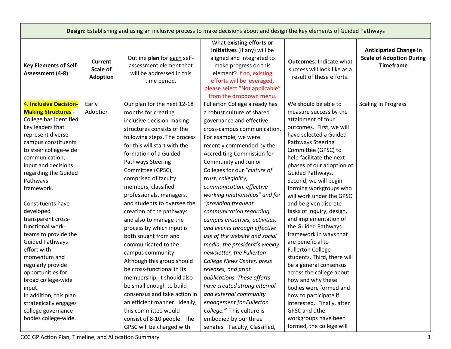|                                                                                                                                                                                                                                                                                                                 | Design: Establishing and using an inclusive process to make decisions about and design the key elements of Guided Pathways |                                                                                                                                                                                                                                                                                                                                                                                                                                |                                                                                                                                                                                                                                                                                                                                                                                                                                                           |                                                                                                                                                                                                                                                                                                                                                                                                                       |                                                                                     |  |  |  |
|-----------------------------------------------------------------------------------------------------------------------------------------------------------------------------------------------------------------------------------------------------------------------------------------------------------------|----------------------------------------------------------------------------------------------------------------------------|--------------------------------------------------------------------------------------------------------------------------------------------------------------------------------------------------------------------------------------------------------------------------------------------------------------------------------------------------------------------------------------------------------------------------------|-----------------------------------------------------------------------------------------------------------------------------------------------------------------------------------------------------------------------------------------------------------------------------------------------------------------------------------------------------------------------------------------------------------------------------------------------------------|-----------------------------------------------------------------------------------------------------------------------------------------------------------------------------------------------------------------------------------------------------------------------------------------------------------------------------------------------------------------------------------------------------------------------|-------------------------------------------------------------------------------------|--|--|--|
| <b>Key Elements of Self-</b><br>Assessment (4-8)                                                                                                                                                                                                                                                                | Current<br>Scale of<br><b>Adoption</b>                                                                                     | Outline plan for each self-<br>assessment element that<br>will be addressed in this<br>time period.                                                                                                                                                                                                                                                                                                                            | What existing efforts or<br>initiatives (if any) will be<br>aligned and integrated to<br>make progress on this<br>element? If no, existing<br>efforts will be leveraged,<br>please select "Not applicable"<br>from the dropdown menu.                                                                                                                                                                                                                     | <b>Outcomes: Indicate what</b><br>success will look like as a<br>result of these efforts.                                                                                                                                                                                                                                                                                                                             | <b>Anticipated Change in</b><br><b>Scale of Adoption During</b><br><b>Timeframe</b> |  |  |  |
| 4. Inclusive Decision-<br><b>Making Structures -</b><br>College has identified<br>key leaders that<br>represent diverse<br>campus constituents<br>to steer college-wide<br>communication,<br>input and decisions<br>regarding the Guided<br>Pathways<br>framework.<br>Constituents have                         | Early<br>Adoption                                                                                                          | Our plan for the next 12-18<br>months for creating<br>inclusive decision-making<br>structures consists of the<br>following steps. The process<br>for this will start with the<br>formation of a Guided<br>Pathways Steering<br>Committee (GPSC),<br>comprised of faculty<br>members, classified<br>professionals, managers,<br>and students to oversee the                                                                     | Fullerton College already has<br>a robust culture of shared<br>governance and effective<br>cross-campus communication.<br>For example, we were<br>recently commended by the<br><b>Accrediting Commission for</b><br>Community and Junior<br>Colleges for our "culture of<br>trust, collegiality,<br>communication, effective<br>working relationships" and for<br>"providing frequent                                                                     | We should be able to<br>measure success by the<br>attainment of four<br>outcomes. First, we will<br>have selected a Guided<br>Pathways Steering<br>Committee (GPSC) to<br>help facilitate the next<br>phases of our adoption of<br>Guided Pathways.<br>Second, we will begin<br>forming workgroups who<br>will work under the GPSC<br>and be given discrete                                                           | <b>Scaling in Progress</b>                                                          |  |  |  |
| developed<br>transparent cross-<br>functional work-<br>teams to provide the<br><b>Guided Pathways</b><br>effort with<br>momentum and<br>regularly provide<br>opportunities for<br>broad college-wide<br>input.<br>In addition, this plan<br>strategically engages<br>college governance<br>bodies college-wide. |                                                                                                                            | creation of the pathways<br>and also to manage the<br>process by which input is<br>both sought from and<br>communicated to the<br>campus community.<br>Although this group should<br>be cross-functional in its<br>membership, it should also<br>be small enough to build<br>consensus and take action in<br>an efficient manner. Ideally,<br>this committee would<br>consist of 8-10 people. The<br>GPSC will be charged with | communication regarding<br>campus initiatives, activities,<br>and events through effective<br>use of the website and social<br>media, the president's weekly<br>newsletter, the Fullerton<br>College News Center, press<br>releases, and print<br>publications. These efforts<br>have created strong internal<br>and external community<br>engagement for Fullerton<br>College." This culture is<br>embodied by our three<br>senates-Faculty, Classified, | tasks of inquiry, design,<br>and implementation of<br>the Guided Pathways<br>framework in ways that<br>are beneficial to<br><b>Fullerton College</b><br>students. Third, there will<br>be a general consensus<br>across the college about<br>how and why these<br>bodies were formed and<br>how to participate if<br>interested. Finally, after<br>GPSC and other<br>workgroups have been<br>formed, the college will |                                                                                     |  |  |  |

CCC GP Action Plan, Timeline, and Allocation Summary 33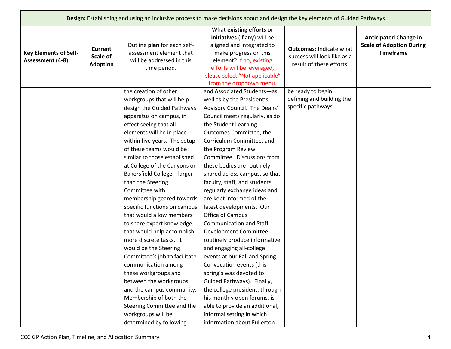|                                                  |                                        |                                                                                                                                                                                                                                                                                                                                                                                                                                                                                                                                                                                                                                                                                                                                                                                                 | Design: Establishing and using an inclusive process to make decisions about and design the key elements of Guided Pathways                                                                                                                                                                                                                                                                                                                                                                                                                                                                                                                                                                                                                                                                                                                               |                                                                                           |                                                                                     |
|--------------------------------------------------|----------------------------------------|-------------------------------------------------------------------------------------------------------------------------------------------------------------------------------------------------------------------------------------------------------------------------------------------------------------------------------------------------------------------------------------------------------------------------------------------------------------------------------------------------------------------------------------------------------------------------------------------------------------------------------------------------------------------------------------------------------------------------------------------------------------------------------------------------|----------------------------------------------------------------------------------------------------------------------------------------------------------------------------------------------------------------------------------------------------------------------------------------------------------------------------------------------------------------------------------------------------------------------------------------------------------------------------------------------------------------------------------------------------------------------------------------------------------------------------------------------------------------------------------------------------------------------------------------------------------------------------------------------------------------------------------------------------------|-------------------------------------------------------------------------------------------|-------------------------------------------------------------------------------------|
| <b>Key Elements of Self-</b><br>Assessment (4-8) | Current<br>Scale of<br><b>Adoption</b> | Outline plan for each self-<br>assessment element that<br>will be addressed in this<br>time period.                                                                                                                                                                                                                                                                                                                                                                                                                                                                                                                                                                                                                                                                                             | What existing efforts or<br>initiatives (if any) will be<br>aligned and integrated to<br>make progress on this<br>element? If no, existing<br>efforts will be leveraged,<br>please select "Not applicable"<br>from the dropdown menu.                                                                                                                                                                                                                                                                                                                                                                                                                                                                                                                                                                                                                    | <b>Outcomes: Indicate what</b><br>success will look like as a<br>result of these efforts. | <b>Anticipated Change in</b><br><b>Scale of Adoption During</b><br><b>Timeframe</b> |
|                                                  |                                        | the creation of other<br>workgroups that will help<br>design the Guided Pathways<br>apparatus on campus, in<br>effect seeing that all<br>elements will be in place<br>within five years. The setup<br>of these teams would be<br>similar to those established<br>at College of the Canyons or<br>Bakersfield College-larger<br>than the Steering<br>Committee with<br>membership geared towards<br>specific functions on campus<br>that would allow members<br>to share expert knowledge<br>that would help accomplish<br>more discrete tasks. It<br>would be the Steering<br>Committee's job to facilitate<br>communication among<br>these workgroups and<br>between the workgroups<br>and the campus community.<br>Membership of both the<br>Steering Committee and the<br>workgroups will be | and Associated Students-as<br>well as by the President's<br>Advisory Council. The Deans'<br>Council meets regularly, as do<br>the Student Learning<br>Outcomes Committee, the<br>Curriculum Committee, and<br>the Program Review<br>Committee. Discussions from<br>these bodies are routinely<br>shared across campus, so that<br>faculty, staff, and students<br>regularly exchange ideas and<br>are kept informed of the<br>latest developments. Our<br>Office of Campus<br><b>Communication and Staff</b><br>Development Committee<br>routinely produce informative<br>and engaging all-college<br>events at our Fall and Spring<br>Convocation events (this<br>spring's was devoted to<br>Guided Pathways). Finally,<br>the college president, through<br>his monthly open forums, is<br>able to provide an additional,<br>informal setting in which | be ready to begin<br>defining and building the<br>specific pathways.                      |                                                                                     |
|                                                  |                                        | determined by following                                                                                                                                                                                                                                                                                                                                                                                                                                                                                                                                                                                                                                                                                                                                                                         | information about Fullerton                                                                                                                                                                                                                                                                                                                                                                                                                                                                                                                                                                                                                                                                                                                                                                                                                              |                                                                                           |                                                                                     |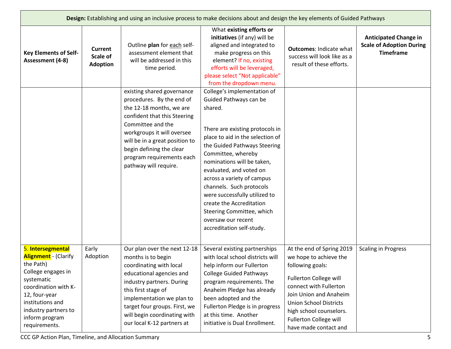|                                                                                                                                                                                                                           | Design: Establishing and using an inclusive process to make decisions about and design the key elements of Guided Pathways |                                                                                                                                                                                                                                                                                            |                                                                                                                                                                                                                                                                                                                                                                                                                                                               |                                                                                                                                                                                                                                                                             |                                                                                     |  |
|---------------------------------------------------------------------------------------------------------------------------------------------------------------------------------------------------------------------------|----------------------------------------------------------------------------------------------------------------------------|--------------------------------------------------------------------------------------------------------------------------------------------------------------------------------------------------------------------------------------------------------------------------------------------|---------------------------------------------------------------------------------------------------------------------------------------------------------------------------------------------------------------------------------------------------------------------------------------------------------------------------------------------------------------------------------------------------------------------------------------------------------------|-----------------------------------------------------------------------------------------------------------------------------------------------------------------------------------------------------------------------------------------------------------------------------|-------------------------------------------------------------------------------------|--|
| <b>Key Elements of Self-</b><br>Assessment (4-8)                                                                                                                                                                          | <b>Current</b><br>Scale of<br><b>Adoption</b>                                                                              | Outline plan for each self-<br>assessment element that<br>will be addressed in this<br>time period.                                                                                                                                                                                        | What existing efforts or<br>initiatives (if any) will be<br>aligned and integrated to<br>make progress on this<br>element? If no, existing<br>efforts will be leveraged,<br>please select "Not applicable"<br>from the dropdown menu.                                                                                                                                                                                                                         | <b>Outcomes: Indicate what</b><br>success will look like as a<br>result of these efforts.                                                                                                                                                                                   | <b>Anticipated Change in</b><br><b>Scale of Adoption During</b><br><b>Timeframe</b> |  |
|                                                                                                                                                                                                                           |                                                                                                                            | existing shared governance<br>procedures. By the end of<br>the 12-18 months, we are<br>confident that this Steering<br>Committee and the<br>workgroups it will oversee<br>will be in a great position to<br>begin defining the clear<br>program requirements each<br>pathway will require. | College's implementation of<br>Guided Pathways can be<br>shared.<br>There are existing protocols in<br>place to aid in the selection of<br>the Guided Pathways Steering<br>Committee, whereby<br>nominations will be taken,<br>evaluated, and voted on<br>across a variety of campus<br>channels. Such protocols<br>were successfully utilized to<br>create the Accreditation<br>Steering Committee, which<br>oversaw our recent<br>accreditation self-study. |                                                                                                                                                                                                                                                                             |                                                                                     |  |
| 5. Intersegmental<br><b>Alignment</b> - (Clarify<br>the Path)<br>College engages in<br>systematic<br>coordination with K-<br>12, four-year<br>institutions and<br>industry partners to<br>inform program<br>requirements. | Early<br>Adoption                                                                                                          | Our plan over the next 12-18<br>months is to begin<br>coordinating with local<br>educational agencies and<br>industry partners. During<br>this first stage of<br>implementation we plan to<br>target four groups. First, we<br>will begin coordinating with<br>our local K-12 partners at  | Several existing partnerships<br>with local school districts will<br>help inform our Fullerton<br><b>College Guided Pathways</b><br>program requirements. The<br>Anaheim Pledge has already<br>been adopted and the<br>Fullerton Pledge is in progress<br>at this time. Another<br>initiative is Dual Enrollment.                                                                                                                                             | At the end of Spring 2019<br>we hope to achieve the<br>following goals:<br><b>Fullerton College will</b><br>connect with Fullerton<br>Join Union and Anaheim<br><b>Union School Districts</b><br>high school counselors.<br>Fullerton College will<br>have made contact and | <b>Scaling in Progress</b>                                                          |  |

CCC GP Action Plan, Timeline, and Allocation Summary 5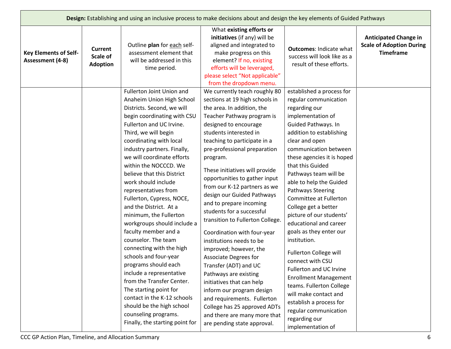| Design: Establishing and using an inclusive process to make decisions about and design the key elements of Guided Pathways |                                               |                                                                                                                                                                                                                                                                                                                                                                                                                                                                                                                                                                                                                                                                                                                                                                                                                             |                                                                                                                                                                                                                                                                                                                                                                                                                                                                                                                                                                                                                                                                                                                                                                                                                                                 |                                                                                                                                                                                                                                                                                                                                                                                                                                                                                                                                                                                                                                                                                                                                     |                                                                                     |  |
|----------------------------------------------------------------------------------------------------------------------------|-----------------------------------------------|-----------------------------------------------------------------------------------------------------------------------------------------------------------------------------------------------------------------------------------------------------------------------------------------------------------------------------------------------------------------------------------------------------------------------------------------------------------------------------------------------------------------------------------------------------------------------------------------------------------------------------------------------------------------------------------------------------------------------------------------------------------------------------------------------------------------------------|-------------------------------------------------------------------------------------------------------------------------------------------------------------------------------------------------------------------------------------------------------------------------------------------------------------------------------------------------------------------------------------------------------------------------------------------------------------------------------------------------------------------------------------------------------------------------------------------------------------------------------------------------------------------------------------------------------------------------------------------------------------------------------------------------------------------------------------------------|-------------------------------------------------------------------------------------------------------------------------------------------------------------------------------------------------------------------------------------------------------------------------------------------------------------------------------------------------------------------------------------------------------------------------------------------------------------------------------------------------------------------------------------------------------------------------------------------------------------------------------------------------------------------------------------------------------------------------------------|-------------------------------------------------------------------------------------|--|
| <b>Key Elements of Self-</b><br>Assessment (4-8)                                                                           | <b>Current</b><br>Scale of<br><b>Adoption</b> | Outline plan for each self-<br>assessment element that<br>will be addressed in this<br>time period.                                                                                                                                                                                                                                                                                                                                                                                                                                                                                                                                                                                                                                                                                                                         | What existing efforts or<br>initiatives (if any) will be<br>aligned and integrated to<br>make progress on this<br>element? If no, existing<br>efforts will be leveraged,<br>please select "Not applicable"<br>from the dropdown menu.                                                                                                                                                                                                                                                                                                                                                                                                                                                                                                                                                                                                           | <b>Outcomes: Indicate what</b><br>success will look like as a<br>result of these efforts.                                                                                                                                                                                                                                                                                                                                                                                                                                                                                                                                                                                                                                           | <b>Anticipated Change in</b><br><b>Scale of Adoption During</b><br><b>Timeframe</b> |  |
|                                                                                                                            |                                               | Fullerton Joint Union and<br>Anaheim Union High School<br>Districts. Second, we will<br>begin coordinating with CSU<br>Fullerton and UC Irvine.<br>Third, we will begin<br>coordinating with local<br>industry partners. Finally,<br>we will coordinate efforts<br>within the NOCCCD. We<br>believe that this District<br>work should include<br>representatives from<br>Fullerton, Cypress, NOCE,<br>and the District. At a<br>minimum, the Fullerton<br>workgroups should include a<br>faculty member and a<br>counselor. The team<br>connecting with the high<br>schools and four-year<br>programs should each<br>include a representative<br>from the Transfer Center.<br>The starting point for<br>contact in the K-12 schools<br>should be the high school<br>counseling programs.<br>Finally, the starting point for | We currently teach roughly 80<br>sections at 19 high schools in<br>the area. In addition, the<br>Teacher Pathway program is<br>designed to encourage<br>students interested in<br>teaching to participate in a<br>pre-professional preparation<br>program.<br>These initiatives will provide<br>opportunities to gather input<br>from our K-12 partners as we<br>design our Guided Pathways<br>and to prepare incoming<br>students for a successful<br>transition to Fullerton College.<br>Coordination with four-year<br>institutions needs to be<br>improved; however, the<br>Associate Degrees for<br>Transfer (ADT) and UC<br>Pathways are existing<br>initiatives that can help<br>inform our program design<br>and requirements. Fullerton<br>College has 25 approved ADTs<br>and there are many more that<br>are pending state approval. | established a process for<br>regular communication<br>regarding our<br>implementation of<br>Guided Pathways. In<br>addition to establishing<br>clear and open<br>communication between<br>these agencies it is hoped<br>that this Guided<br>Pathways team will be<br>able to help the Guided<br><b>Pathways Steering</b><br>Committee at Fullerton<br>College get a better<br>picture of our students'<br>educational and career<br>goals as they enter our<br>institution.<br>Fullerton College will<br>connect with CSU<br>Fullerton and UC Irvine<br><b>Enrollment Management</b><br>teams. Fullerton College<br>will make contact and<br>establish a process for<br>regular communication<br>regarding our<br>implementation of |                                                                                     |  |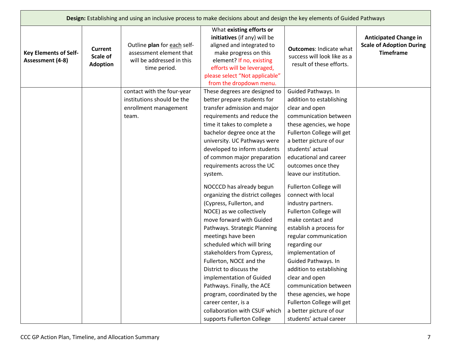|                                                  |                                               |                                                                                                     | Design: Establishing and using an inclusive process to make decisions about and design the key elements of Guided Pathways                                                                                                                                                                                                                                                                                                                                                                                                                                                                                                                                                                                                                                                    |                                                                                                                                                                                                                                                                                                                                                                                                                                                                                                                                                                                                                                                   |                                                                                     |
|--------------------------------------------------|-----------------------------------------------|-----------------------------------------------------------------------------------------------------|-------------------------------------------------------------------------------------------------------------------------------------------------------------------------------------------------------------------------------------------------------------------------------------------------------------------------------------------------------------------------------------------------------------------------------------------------------------------------------------------------------------------------------------------------------------------------------------------------------------------------------------------------------------------------------------------------------------------------------------------------------------------------------|---------------------------------------------------------------------------------------------------------------------------------------------------------------------------------------------------------------------------------------------------------------------------------------------------------------------------------------------------------------------------------------------------------------------------------------------------------------------------------------------------------------------------------------------------------------------------------------------------------------------------------------------------|-------------------------------------------------------------------------------------|
| <b>Key Elements of Self-</b><br>Assessment (4-8) | <b>Current</b><br>Scale of<br><b>Adoption</b> | Outline plan for each self-<br>assessment element that<br>will be addressed in this<br>time period. | What existing efforts or<br>initiatives (if any) will be<br>aligned and integrated to<br>make progress on this<br>element? If no, existing<br>efforts will be leveraged,<br>please select "Not applicable"<br>from the dropdown menu.                                                                                                                                                                                                                                                                                                                                                                                                                                                                                                                                         | <b>Outcomes: Indicate what</b><br>success will look like as a<br>result of these efforts.                                                                                                                                                                                                                                                                                                                                                                                                                                                                                                                                                         | <b>Anticipated Change in</b><br><b>Scale of Adoption During</b><br><b>Timeframe</b> |
|                                                  |                                               | contact with the four-year<br>institutions should be the<br>enrollment management<br>team.          | These degrees are designed to<br>better prepare students for<br>transfer admission and major<br>requirements and reduce the<br>time it takes to complete a<br>bachelor degree once at the<br>university. UC Pathways were<br>developed to inform students<br>of common major preparation<br>requirements across the UC<br>system.<br>NOCCCD has already begun<br>organizing the district colleges<br>(Cypress, Fullerton, and<br>NOCE) as we collectively<br>move forward with Guided<br>Pathways. Strategic Planning<br>meetings have been<br>scheduled which will bring<br>stakeholders from Cypress,<br>Fullerton, NOCE and the<br>District to discuss the<br>implementation of Guided<br>Pathways. Finally, the ACE<br>program, coordinated by the<br>career center, is a | Guided Pathways. In<br>addition to establishing<br>clear and open<br>communication between<br>these agencies, we hope<br>Fullerton College will get<br>a better picture of our<br>students' actual<br>educational and career<br>outcomes once they<br>leave our institution.<br>Fullerton College will<br>connect with local<br>industry partners.<br>Fullerton College will<br>make contact and<br>establish a process for<br>regular communication<br>regarding our<br>implementation of<br>Guided Pathways. In<br>addition to establishing<br>clear and open<br>communication between<br>these agencies, we hope<br>Fullerton College will get |                                                                                     |
|                                                  |                                               |                                                                                                     | collaboration with CSUF which<br>supports Fullerton College                                                                                                                                                                                                                                                                                                                                                                                                                                                                                                                                                                                                                                                                                                                   | a better picture of our<br>students' actual career                                                                                                                                                                                                                                                                                                                                                                                                                                                                                                                                                                                                |                                                                                     |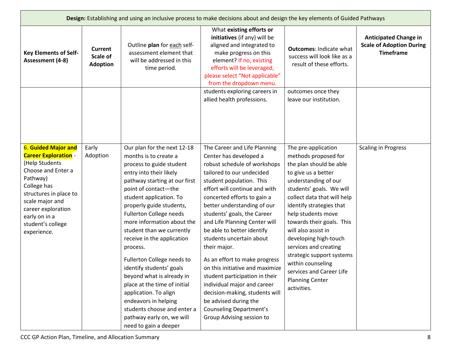|                                                                                                                                                                                                                                                      | Design: Establishing and using an inclusive process to make decisions about and design the key elements of Guided Pathways |                                                                                                                                                                                                                                                                                                                                                                                                                                                                                                                                                                                                                          |                                                                                                                                                                                                                                                                                                                                                                                                                                                                                                                                                                                                                                                         |                                                                                                                                                                                                                                                                                                                                                                                                                                                                 |                                                                                     |  |  |  |
|------------------------------------------------------------------------------------------------------------------------------------------------------------------------------------------------------------------------------------------------------|----------------------------------------------------------------------------------------------------------------------------|--------------------------------------------------------------------------------------------------------------------------------------------------------------------------------------------------------------------------------------------------------------------------------------------------------------------------------------------------------------------------------------------------------------------------------------------------------------------------------------------------------------------------------------------------------------------------------------------------------------------------|---------------------------------------------------------------------------------------------------------------------------------------------------------------------------------------------------------------------------------------------------------------------------------------------------------------------------------------------------------------------------------------------------------------------------------------------------------------------------------------------------------------------------------------------------------------------------------------------------------------------------------------------------------|-----------------------------------------------------------------------------------------------------------------------------------------------------------------------------------------------------------------------------------------------------------------------------------------------------------------------------------------------------------------------------------------------------------------------------------------------------------------|-------------------------------------------------------------------------------------|--|--|--|
| <b>Key Elements of Self-</b><br>Assessment (4-8)                                                                                                                                                                                                     | <b>Current</b><br>Scale of<br><b>Adoption</b>                                                                              | Outline plan for each self-<br>assessment element that<br>will be addressed in this<br>time period.                                                                                                                                                                                                                                                                                                                                                                                                                                                                                                                      | What existing efforts or<br>initiatives (if any) will be<br>aligned and integrated to<br>make progress on this<br>element? If no, existing<br>efforts will be leveraged,<br>please select "Not applicable"<br>from the dropdown menu.                                                                                                                                                                                                                                                                                                                                                                                                                   | <b>Outcomes: Indicate what</b><br>success will look like as a<br>result of these efforts.                                                                                                                                                                                                                                                                                                                                                                       | <b>Anticipated Change in</b><br><b>Scale of Adoption During</b><br><b>Timeframe</b> |  |  |  |
|                                                                                                                                                                                                                                                      |                                                                                                                            |                                                                                                                                                                                                                                                                                                                                                                                                                                                                                                                                                                                                                          | students exploring careers in<br>allied health professions.                                                                                                                                                                                                                                                                                                                                                                                                                                                                                                                                                                                             | outcomes once they<br>leave our institution.                                                                                                                                                                                                                                                                                                                                                                                                                    |                                                                                     |  |  |  |
| <b>6. Guided Major and</b><br><b>Career Exploration -</b><br>(Help Students<br>Choose and Enter a<br>Pathway)<br>College has<br>structures in place to<br>scale major and<br>career exploration<br>early on in a<br>student's college<br>experience. | Early<br>Adoption                                                                                                          | Our plan for the next 12-18<br>months is to create a<br>process to guide student<br>entry into their likely<br>pathway starting at our first<br>point of contact-the<br>student application. To<br>properly guide students,<br>Fullerton College needs<br>more information about the<br>student than we currently<br>receive in the application<br>process.<br>Fullerton College needs to<br>identify students' goals<br>beyond what is already in<br>place at the time of initial<br>application. To align<br>endeavors in helping<br>students choose and enter a<br>pathway early on, we will<br>need to gain a deeper | The Career and Life Planning<br>Center has developed a<br>robust schedule of workshops<br>tailored to our undecided<br>student population. This<br>effort will continue and with<br>concerted efforts to gain a<br>better understanding of our<br>students' goals, the Career<br>and Life Planning Center will<br>be able to better identify<br>students uncertain about<br>their major.<br>As an effort to make progress<br>on this initiative and maximize<br>student participation in their<br>individual major and career<br>decision-making, students will<br>be advised during the<br><b>Counseling Department's</b><br>Group Advising session to | The pre-application<br>methods proposed for<br>the plan should be able<br>to give us a better<br>understanding of our<br>students' goals. We will<br>collect data that will help<br>identify strategies that<br>help students move<br>towards their goals. This<br>will also assist in<br>developing high-touch<br>services and creating<br>strategic support systems<br>within counseling<br>services and Career Life<br><b>Planning Center</b><br>activities. | <b>Scaling in Progress</b>                                                          |  |  |  |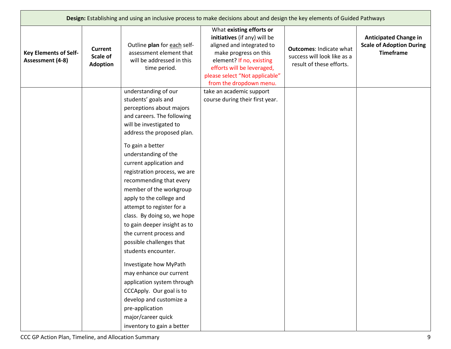|                                                  | Design: Establishing and using an inclusive process to make decisions about and design the key elements of Guided Pathways |                                                                                                                                                                                                                                                                                                                                                                                                                                                                                                                                                                                                                                                                                                                      |                                                                                                                                                                                                                                       |                                                                                           |                                                                                     |  |  |
|--------------------------------------------------|----------------------------------------------------------------------------------------------------------------------------|----------------------------------------------------------------------------------------------------------------------------------------------------------------------------------------------------------------------------------------------------------------------------------------------------------------------------------------------------------------------------------------------------------------------------------------------------------------------------------------------------------------------------------------------------------------------------------------------------------------------------------------------------------------------------------------------------------------------|---------------------------------------------------------------------------------------------------------------------------------------------------------------------------------------------------------------------------------------|-------------------------------------------------------------------------------------------|-------------------------------------------------------------------------------------|--|--|
| <b>Key Elements of Self-</b><br>Assessment (4-8) | <b>Current</b><br>Scale of<br><b>Adoption</b>                                                                              | Outline plan for each self-<br>assessment element that<br>will be addressed in this<br>time period.                                                                                                                                                                                                                                                                                                                                                                                                                                                                                                                                                                                                                  | What existing efforts or<br>initiatives (if any) will be<br>aligned and integrated to<br>make progress on this<br>element? If no, existing<br>efforts will be leveraged,<br>please select "Not applicable"<br>from the dropdown menu. | <b>Outcomes: Indicate what</b><br>success will look like as a<br>result of these efforts. | <b>Anticipated Change in</b><br><b>Scale of Adoption During</b><br><b>Timeframe</b> |  |  |
|                                                  |                                                                                                                            | understanding of our<br>students' goals and<br>perceptions about majors<br>and careers. The following<br>will be investigated to<br>address the proposed plan.<br>To gain a better<br>understanding of the<br>current application and<br>registration process, we are<br>recommending that every<br>member of the workgroup<br>apply to the college and<br>attempt to register for a<br>class. By doing so, we hope<br>to gain deeper insight as to<br>the current process and<br>possible challenges that<br>students encounter.<br>Investigate how MyPath<br>may enhance our current<br>application system through<br>CCCApply. Our goal is to<br>develop and customize a<br>pre-application<br>major/career quick | take an academic support<br>course during their first year.                                                                                                                                                                           |                                                                                           |                                                                                     |  |  |
|                                                  |                                                                                                                            | inventory to gain a better                                                                                                                                                                                                                                                                                                                                                                                                                                                                                                                                                                                                                                                                                           |                                                                                                                                                                                                                                       |                                                                                           |                                                                                     |  |  |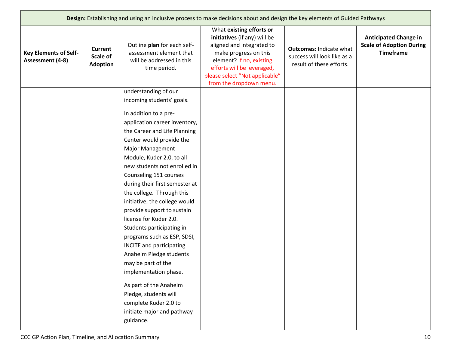|                                                  | Design: Establishing and using an inclusive process to make decisions about and design the key elements of Guided Pathways |                                                                                                                                                                                                                                                                                                                                                                                                                                                                                                                                                                                                                                                                                              |                                                                                                                                                                                                                                       |                                                                                           |                                                                                     |  |  |
|--------------------------------------------------|----------------------------------------------------------------------------------------------------------------------------|----------------------------------------------------------------------------------------------------------------------------------------------------------------------------------------------------------------------------------------------------------------------------------------------------------------------------------------------------------------------------------------------------------------------------------------------------------------------------------------------------------------------------------------------------------------------------------------------------------------------------------------------------------------------------------------------|---------------------------------------------------------------------------------------------------------------------------------------------------------------------------------------------------------------------------------------|-------------------------------------------------------------------------------------------|-------------------------------------------------------------------------------------|--|--|
| <b>Key Elements of Self-</b><br>Assessment (4-8) | <b>Current</b><br>Scale of<br><b>Adoption</b>                                                                              | Outline plan for each self-<br>assessment element that<br>will be addressed in this<br>time period.                                                                                                                                                                                                                                                                                                                                                                                                                                                                                                                                                                                          | What existing efforts or<br>initiatives (if any) will be<br>aligned and integrated to<br>make progress on this<br>element? If no, existing<br>efforts will be leveraged,<br>please select "Not applicable"<br>from the dropdown menu. | <b>Outcomes: Indicate what</b><br>success will look like as a<br>result of these efforts. | <b>Anticipated Change in</b><br><b>Scale of Adoption During</b><br><b>Timeframe</b> |  |  |
|                                                  |                                                                                                                            | understanding of our                                                                                                                                                                                                                                                                                                                                                                                                                                                                                                                                                                                                                                                                         |                                                                                                                                                                                                                                       |                                                                                           |                                                                                     |  |  |
|                                                  |                                                                                                                            | incoming students' goals.                                                                                                                                                                                                                                                                                                                                                                                                                                                                                                                                                                                                                                                                    |                                                                                                                                                                                                                                       |                                                                                           |                                                                                     |  |  |
|                                                  |                                                                                                                            | In addition to a pre-<br>application career inventory,<br>the Career and Life Planning<br>Center would provide the<br><b>Major Management</b><br>Module, Kuder 2.0, to all<br>new students not enrolled in<br>Counseling 151 courses<br>during their first semester at<br>the college. Through this<br>initiative, the college would<br>provide support to sustain<br>license for Kuder 2.0.<br>Students participating in<br>programs such as ESP, SDSI,<br><b>INCITE</b> and participating<br>Anaheim Pledge students<br>may be part of the<br>implementation phase.<br>As part of the Anaheim<br>Pledge, students will<br>complete Kuder 2.0 to<br>initiate major and pathway<br>guidance. |                                                                                                                                                                                                                                       |                                                                                           |                                                                                     |  |  |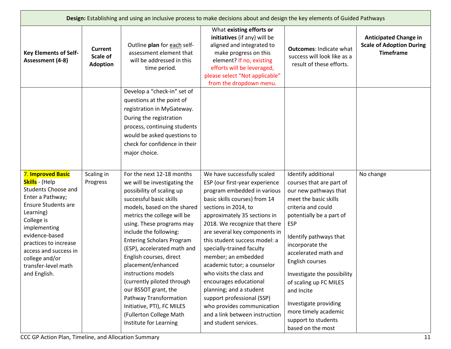|                                                                                                                                                                                                                                                                                             | Design: Establishing and using an inclusive process to make decisions about and design the key elements of Guided Pathways |                                                                                                                                                                                                                                                                                                                                                                                                                                                                                                                                                      |                                                                                                                                                                                                                                                                                                                                                                                                                                                                                                                                                                                     |                                                                                                                                                                                                                                                                                                                                                                                                                               |                                                                                     |  |
|---------------------------------------------------------------------------------------------------------------------------------------------------------------------------------------------------------------------------------------------------------------------------------------------|----------------------------------------------------------------------------------------------------------------------------|------------------------------------------------------------------------------------------------------------------------------------------------------------------------------------------------------------------------------------------------------------------------------------------------------------------------------------------------------------------------------------------------------------------------------------------------------------------------------------------------------------------------------------------------------|-------------------------------------------------------------------------------------------------------------------------------------------------------------------------------------------------------------------------------------------------------------------------------------------------------------------------------------------------------------------------------------------------------------------------------------------------------------------------------------------------------------------------------------------------------------------------------------|-------------------------------------------------------------------------------------------------------------------------------------------------------------------------------------------------------------------------------------------------------------------------------------------------------------------------------------------------------------------------------------------------------------------------------|-------------------------------------------------------------------------------------|--|
| <b>Key Elements of Self-</b><br>Assessment (4-8)                                                                                                                                                                                                                                            | Current<br>Scale of<br><b>Adoption</b>                                                                                     | Outline plan for each self-<br>assessment element that<br>will be addressed in this<br>time period.                                                                                                                                                                                                                                                                                                                                                                                                                                                  | What existing efforts or<br>initiatives (if any) will be<br>aligned and integrated to<br>make progress on this<br>element? If no, existing<br>efforts will be leveraged,<br>please select "Not applicable"<br>from the dropdown menu.                                                                                                                                                                                                                                                                                                                                               | <b>Outcomes: Indicate what</b><br>success will look like as a<br>result of these efforts.                                                                                                                                                                                                                                                                                                                                     | <b>Anticipated Change in</b><br><b>Scale of Adoption During</b><br><b>Timeframe</b> |  |
|                                                                                                                                                                                                                                                                                             |                                                                                                                            | Develop a "check-in" set of<br>questions at the point of<br>registration in MyGateway.<br>During the registration<br>process, continuing students<br>would be asked questions to<br>check for confidence in their<br>major choice.                                                                                                                                                                                                                                                                                                                   |                                                                                                                                                                                                                                                                                                                                                                                                                                                                                                                                                                                     |                                                                                                                                                                                                                                                                                                                                                                                                                               |                                                                                     |  |
| 7. Improved Basic<br>Skills - (Help<br><b>Students Choose and</b><br>Enter a Pathway;<br><b>Ensure Students are</b><br>Learning)<br>College is<br>implementing<br>evidence-based<br>practices to increase<br>access and success in<br>college and/or<br>transfer-level math<br>and English. | Scaling in<br>Progress                                                                                                     | For the next 12-18 months<br>we will be investigating the<br>possibility of scaling up<br>successful basic skills<br>models, based on the shared<br>metrics the college will be<br>using. These programs may<br>include the following:<br><b>Entering Scholars Program</b><br>(ESP), accelerated math and<br>English courses, direct<br>placement/enhanced<br>instructions models<br>(currently piloted through<br>our BSSOT grant, the<br>Pathway Transformation<br>Initiative, PTI), FC MILES<br>(Fullerton College Math<br>Institute for Learning | We have successfully scaled<br>ESP (our first-year experience<br>program embedded in various<br>basic skills courses) from 14<br>sections in 2014, to<br>approximately 35 sections in<br>2018. We recognize that there<br>are several key components in<br>this student success model: a<br>specially-trained faculty<br>member; an embedded<br>academic tutor; a counselor<br>who visits the class and<br>encourages educational<br>planning; and a student<br>support professional (SSP)<br>who provides communication<br>and a link between instruction<br>and student services. | Identify additional<br>courses that are part of<br>our new pathways that<br>meet the basic skills<br>criteria and could<br>potentially be a part of<br><b>ESP</b><br>Identify pathways that<br>incorporate the<br>accelerated math and<br>English courses<br>Investigate the possibility<br>of scaling up FC MILES<br>and Incite<br>Investigate providing<br>more timely academic<br>support to students<br>based on the most | No change                                                                           |  |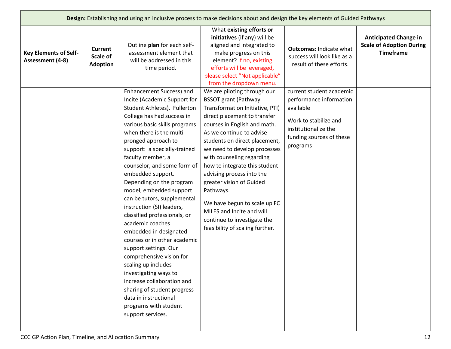|                                                  |                                               |                                                                                                                                                                                                                                                                                                                                                                                                                                                                                                                                                                                                                                                                                                                                                                                               | Design: Establishing and using an inclusive process to make decisions about and design the key elements of Guided Pathways                                                                                                                                                                                                                                                                                                                                                                                                    |                                                                                                                                                           |                                                                                     |
|--------------------------------------------------|-----------------------------------------------|-----------------------------------------------------------------------------------------------------------------------------------------------------------------------------------------------------------------------------------------------------------------------------------------------------------------------------------------------------------------------------------------------------------------------------------------------------------------------------------------------------------------------------------------------------------------------------------------------------------------------------------------------------------------------------------------------------------------------------------------------------------------------------------------------|-------------------------------------------------------------------------------------------------------------------------------------------------------------------------------------------------------------------------------------------------------------------------------------------------------------------------------------------------------------------------------------------------------------------------------------------------------------------------------------------------------------------------------|-----------------------------------------------------------------------------------------------------------------------------------------------------------|-------------------------------------------------------------------------------------|
| <b>Key Elements of Self-</b><br>Assessment (4-8) | <b>Current</b><br>Scale of<br><b>Adoption</b> | Outline plan for each self-<br>assessment element that<br>will be addressed in this<br>time period.                                                                                                                                                                                                                                                                                                                                                                                                                                                                                                                                                                                                                                                                                           | What existing efforts or<br>initiatives (if any) will be<br>aligned and integrated to<br>make progress on this<br>element? If no, existing<br>efforts will be leveraged,<br>please select "Not applicable"<br>from the dropdown menu.                                                                                                                                                                                                                                                                                         | <b>Outcomes: Indicate what</b><br>success will look like as a<br>result of these efforts.                                                                 | <b>Anticipated Change in</b><br><b>Scale of Adoption During</b><br><b>Timeframe</b> |
|                                                  |                                               | Enhancement Success) and<br>Incite (Academic Support for<br>Student Athletes). Fullerton<br>College has had success in<br>various basic skills programs<br>when there is the multi-<br>pronged approach to<br>support: a specially-trained<br>faculty member, a<br>counselor, and some form of<br>embedded support.<br>Depending on the program<br>model, embedded support<br>can be tutors, supplemental<br>instruction (SI) leaders,<br>classified professionals, or<br>academic coaches<br>embedded in designated<br>courses or in other academic<br>support settings. Our<br>comprehensive vision for<br>scaling up includes<br>investigating ways to<br>increase collaboration and<br>sharing of student progress<br>data in instructional<br>programs with student<br>support services. | We are piloting through our<br><b>BSSOT grant (Pathway</b><br>Transformation Initiative, PTI)<br>direct placement to transfer<br>courses in English and math.<br>As we continue to advise<br>students on direct placement,<br>we need to develop processes<br>with counseling regarding<br>how to integrate this student<br>advising process into the<br>greater vision of Guided<br>Pathways.<br>We have begun to scale up FC<br>MILES and Incite and will<br>continue to investigate the<br>feasibility of scaling further. | current student academic<br>performance information<br>available<br>Work to stabilize and<br>institutionalize the<br>funding sources of these<br>programs |                                                                                     |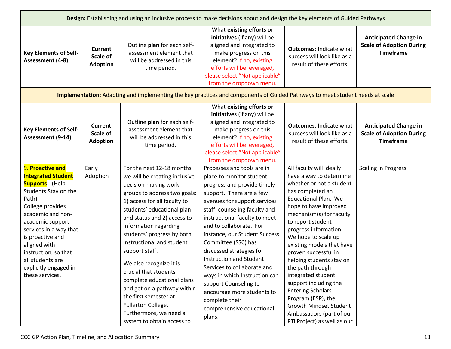|                                                                                                                                                                                                                                                                                                                              |                                               |                                                                                                                                                                                                                                                                                                                                                                                                                                                                                                                                               | Design: Establishing and using an inclusive process to make decisions about and design the key elements of Guided Pathways                                                                                                                                                                                                                                                                                                                                                                                                                           |                                                                                                                                                                                                                                                                                                                                                                                                                                                                                                                                                         |                                                                                     |
|------------------------------------------------------------------------------------------------------------------------------------------------------------------------------------------------------------------------------------------------------------------------------------------------------------------------------|-----------------------------------------------|-----------------------------------------------------------------------------------------------------------------------------------------------------------------------------------------------------------------------------------------------------------------------------------------------------------------------------------------------------------------------------------------------------------------------------------------------------------------------------------------------------------------------------------------------|------------------------------------------------------------------------------------------------------------------------------------------------------------------------------------------------------------------------------------------------------------------------------------------------------------------------------------------------------------------------------------------------------------------------------------------------------------------------------------------------------------------------------------------------------|---------------------------------------------------------------------------------------------------------------------------------------------------------------------------------------------------------------------------------------------------------------------------------------------------------------------------------------------------------------------------------------------------------------------------------------------------------------------------------------------------------------------------------------------------------|-------------------------------------------------------------------------------------|
| <b>Key Elements of Self-</b><br>Assessment (4-8)                                                                                                                                                                                                                                                                             | <b>Current</b><br>Scale of<br><b>Adoption</b> | Outline plan for each self-<br>assessment element that<br>will be addressed in this<br>time period.                                                                                                                                                                                                                                                                                                                                                                                                                                           | What existing efforts or<br>initiatives (if any) will be<br>aligned and integrated to<br>make progress on this<br>element? If no, existing<br>efforts will be leveraged,<br>please select "Not applicable"<br>from the dropdown menu.                                                                                                                                                                                                                                                                                                                | <b>Outcomes: Indicate what</b><br>success will look like as a<br>result of these efforts.                                                                                                                                                                                                                                                                                                                                                                                                                                                               | <b>Anticipated Change in</b><br><b>Scale of Adoption During</b><br><b>Timeframe</b> |
|                                                                                                                                                                                                                                                                                                                              |                                               |                                                                                                                                                                                                                                                                                                                                                                                                                                                                                                                                               | Implementation: Adapting and implementing the key practices and components of Guided Pathways to meet student needs at scale                                                                                                                                                                                                                                                                                                                                                                                                                         |                                                                                                                                                                                                                                                                                                                                                                                                                                                                                                                                                         |                                                                                     |
| <b>Key Elements of Self-</b><br>Assessment (9-14)                                                                                                                                                                                                                                                                            | <b>Current</b><br>Scale of<br><b>Adoption</b> | Outline plan for each self-<br>assessment element that<br>will be addressed in this<br>time period.                                                                                                                                                                                                                                                                                                                                                                                                                                           | What existing efforts or<br>initiatives (if any) will be<br>aligned and integrated to<br>make progress on this<br>element? If no, existing<br>efforts will be leveraged,<br>please select "Not applicable"<br>from the dropdown menu.                                                                                                                                                                                                                                                                                                                | <b>Outcomes: Indicate what</b><br>success will look like as a<br>result of these efforts.                                                                                                                                                                                                                                                                                                                                                                                                                                                               | <b>Anticipated Change in</b><br><b>Scale of Adoption During</b><br><b>Timeframe</b> |
| 9. Proactive and<br><b>Integrated Student</b><br><b>Supports</b> - (Help<br>Students Stay on the<br>Path)<br>College provides<br>academic and non-<br>academic support<br>services in a way that<br>is proactive and<br>aligned with<br>instruction, so that<br>all students are<br>explicitly engaged in<br>these services. | Early<br>Adoption                             | For the next 12-18 months<br>we will be creating inclusive<br>decision-making work<br>groups to address two goals:<br>1) access for all faculty to<br>students' educational plan<br>and status and 2) access to<br>information regarding<br>students' progress by both<br>instructional and student<br>support staff.<br>We also recognize it is<br>crucial that students<br>complete educational plans<br>and get on a pathway within<br>the first semester at<br>Fullerton College.<br>Furthermore, we need a<br>system to obtain access to | Processes and tools are in<br>place to monitor student<br>progress and provide timely<br>support. There are a few<br>avenues for support services<br>staff, counseling faculty and<br>instructional faculty to meet<br>and to collaborate. For<br>instance, our Student Success<br>Committee (SSC) has<br>discussed strategies for<br><b>Instruction and Student</b><br>Services to collaborate and<br>ways in which Instruction can<br>support Counseling to<br>encourage more students to<br>complete their<br>comprehensive educational<br>plans. | All faculty will ideally<br>have a way to determine<br>whether or not a student<br>has completed an<br><b>Educational Plan. We</b><br>hope to have improved<br>mechanism(s) for faculty<br>to report student<br>progress information.<br>We hope to scale up<br>existing models that have<br>proven successful in<br>helping students stay on<br>the path through<br>integrated student<br>support including the<br><b>Entering Scholars</b><br>Program (ESP), the<br>Growth Mindset Student<br>Ambassadors (part of our<br>PTI Project) as well as our | <b>Scaling in Progress</b>                                                          |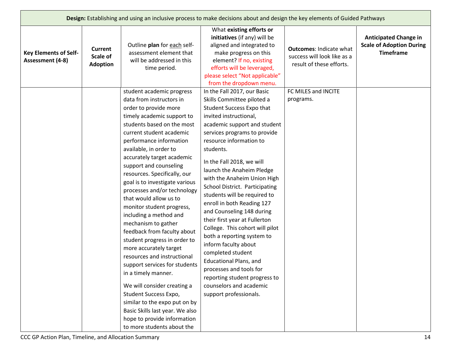|                                                  |                                        |                                                                                                                                                                                                                                                                                                                                                                                                                                                                                                                                                                                                                                                                                                                                                                                                                                                                       | Design: Establishing and using an inclusive process to make decisions about and design the key elements of Guided Pathways                                                                                                                                                                                                                                                                                                                                                                                                                                                                                                                                                                                                                      |                                                                                           |                                                                                     |
|--------------------------------------------------|----------------------------------------|-----------------------------------------------------------------------------------------------------------------------------------------------------------------------------------------------------------------------------------------------------------------------------------------------------------------------------------------------------------------------------------------------------------------------------------------------------------------------------------------------------------------------------------------------------------------------------------------------------------------------------------------------------------------------------------------------------------------------------------------------------------------------------------------------------------------------------------------------------------------------|-------------------------------------------------------------------------------------------------------------------------------------------------------------------------------------------------------------------------------------------------------------------------------------------------------------------------------------------------------------------------------------------------------------------------------------------------------------------------------------------------------------------------------------------------------------------------------------------------------------------------------------------------------------------------------------------------------------------------------------------------|-------------------------------------------------------------------------------------------|-------------------------------------------------------------------------------------|
| <b>Key Elements of Self-</b><br>Assessment (4-8) | Current<br>Scale of<br><b>Adoption</b> | Outline plan for each self-<br>assessment element that<br>will be addressed in this<br>time period.                                                                                                                                                                                                                                                                                                                                                                                                                                                                                                                                                                                                                                                                                                                                                                   | What existing efforts or<br>initiatives (if any) will be<br>aligned and integrated to<br>make progress on this<br>element? If no, existing<br>efforts will be leveraged,<br>please select "Not applicable"<br>from the dropdown menu.                                                                                                                                                                                                                                                                                                                                                                                                                                                                                                           | <b>Outcomes: Indicate what</b><br>success will look like as a<br>result of these efforts. | <b>Anticipated Change in</b><br><b>Scale of Adoption During</b><br><b>Timeframe</b> |
|                                                  |                                        | student academic progress<br>data from instructors in<br>order to provide more<br>timely academic support to<br>students based on the most<br>current student academic<br>performance information<br>available, in order to<br>accurately target academic<br>support and counseling<br>resources. Specifically, our<br>goal is to investigate various<br>processes and/or technology<br>that would allow us to<br>monitor student progress,<br>including a method and<br>mechanism to gather<br>feedback from faculty about<br>student progress in order to<br>more accurately target<br>resources and instructional<br>support services for students<br>in a timely manner.<br>We will consider creating a<br>Student Success Expo,<br>similar to the expo put on by<br>Basic Skills last year. We also<br>hope to provide information<br>to more students about the | In the Fall 2017, our Basic<br>Skills Committee piloted a<br>Student Success Expo that<br>invited instructional,<br>academic support and student<br>services programs to provide<br>resource information to<br>students.<br>In the Fall 2018, we will<br>launch the Anaheim Pledge<br>with the Anaheim Union High<br>School District. Participating<br>students will be required to<br>enroll in both Reading 127<br>and Counseling 148 during<br>their first year at Fullerton<br>College. This cohort will pilot<br>both a reporting system to<br>inform faculty about<br>completed student<br><b>Educational Plans, and</b><br>processes and tools for<br>reporting student progress to<br>counselors and academic<br>support professionals. | FC MILES and INCITE<br>programs.                                                          |                                                                                     |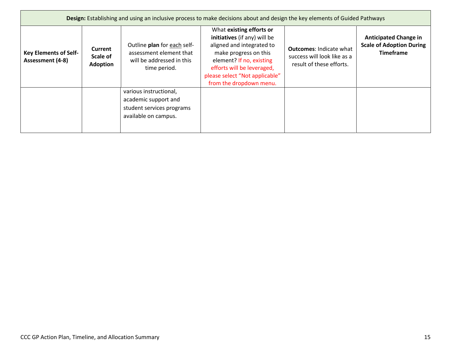| Design: Establishing and using an inclusive process to make decisions about and design the key elements of Guided Pathways |                                        |                                                                                                     |                                                                                                                                                                                                                                       |                                                                                           |                                                                                     |  |
|----------------------------------------------------------------------------------------------------------------------------|----------------------------------------|-----------------------------------------------------------------------------------------------------|---------------------------------------------------------------------------------------------------------------------------------------------------------------------------------------------------------------------------------------|-------------------------------------------------------------------------------------------|-------------------------------------------------------------------------------------|--|
| <b>Key Elements of Self-</b><br>Assessment (4-8)                                                                           | Current<br>Scale of<br><b>Adoption</b> | Outline plan for each self-<br>assessment element that<br>will be addressed in this<br>time period. | What existing efforts or<br>initiatives (if any) will be<br>aligned and integrated to<br>make progress on this<br>element? If no, existing<br>efforts will be leveraged,<br>please select "Not applicable"<br>from the dropdown menu. | <b>Outcomes: Indicate what</b><br>success will look like as a<br>result of these efforts. | <b>Anticipated Change in</b><br><b>Scale of Adoption During</b><br><b>Timeframe</b> |  |
|                                                                                                                            |                                        | various instructional,<br>academic support and<br>student services programs<br>available on campus. |                                                                                                                                                                                                                                       |                                                                                           |                                                                                     |  |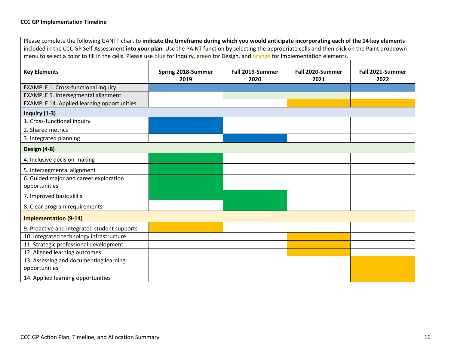Please complete the following GANTT chart to **indicate the timeframe during which you would anticipate incorporating each of the 14 key elements** included in the CCC GP Self-Assessment **into your plan**. Use the PAINT function by selecting the appropriate cells and then click on the Paint dropdown menu to select a color to fill in the cells. Please use blue for Inquiry, green for Design, and orange for Implementation elements.

| <b>Key Elements</b>                               | Spring 2018-Summer<br>2019 | Fall 2019-Summer<br>2020 | Fall 2020-Summer<br>2021 | Fall 2021-Summer<br>2022 |  |  |
|---------------------------------------------------|----------------------------|--------------------------|--------------------------|--------------------------|--|--|
| <b>EXAMPLE 1. Cross-functional inquiry</b>        |                            |                          |                          |                          |  |  |
| EXAMPLE 5. Intersegmental alignment               |                            |                          |                          |                          |  |  |
| <b>EXAMPLE 14. Applied learning opportunities</b> |                            |                          |                          |                          |  |  |
| Inquiry $(1-3)$                                   |                            |                          |                          |                          |  |  |
| 1. Cross-functional inquiry                       |                            |                          |                          |                          |  |  |
| 2. Shared metrics                                 |                            |                          |                          |                          |  |  |
| 3. Integrated planning                            |                            |                          |                          |                          |  |  |
| Design (4-8)                                      |                            |                          |                          |                          |  |  |
| 4. Inclusive decision-making                      |                            |                          |                          |                          |  |  |
| 5. Intersegmental alignment                       |                            |                          |                          |                          |  |  |
| 6. Guided major and career exploration            |                            |                          |                          |                          |  |  |
| opportunities                                     |                            |                          |                          |                          |  |  |
| 7. Improved basic skills                          |                            |                          |                          |                          |  |  |
| 8. Clear program requirements                     |                            |                          |                          |                          |  |  |
| <b>Implementation (9-14)</b>                      |                            |                          |                          |                          |  |  |
| 9. Proactive and integrated student supports      |                            |                          |                          |                          |  |  |
| 10. Integrated technology infrastructure          |                            |                          |                          |                          |  |  |
| 11. Strategic professional development            |                            |                          |                          |                          |  |  |
| 12. Aligned learning outcomes                     |                            |                          |                          |                          |  |  |
| 13. Assessing and documenting learning            |                            |                          |                          |                          |  |  |
| opportunities                                     |                            |                          |                          |                          |  |  |
| 14. Applied learning opportunities                |                            |                          |                          |                          |  |  |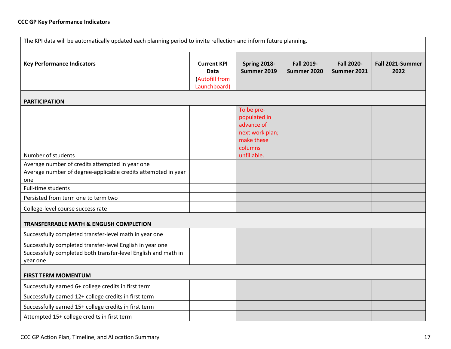## **CCC GP Key Performance Indicators**

| The KPI data will be automatically updated each planning period to invite reflection and inform future planning.                        |                                                              |                                                                                                     |                                  |                                  |                          |
|-----------------------------------------------------------------------------------------------------------------------------------------|--------------------------------------------------------------|-----------------------------------------------------------------------------------------------------|----------------------------------|----------------------------------|--------------------------|
| <b>Key Performance Indicators</b>                                                                                                       | <b>Current KPI</b><br>Data<br>(Autofill from<br>Launchboard) | Spring 2018-<br>Summer 2019                                                                         | <b>Fall 2019-</b><br>Summer 2020 | <b>Fall 2020-</b><br>Summer 2021 | Fall 2021-Summer<br>2022 |
| <b>PARTICIPATION</b>                                                                                                                    |                                                              |                                                                                                     |                                  |                                  |                          |
| Number of students<br>Average number of credits attempted in year one<br>Average number of degree-applicable credits attempted in year  |                                                              | To be pre-<br>populated in<br>advance of<br>next work plan;<br>make these<br>columns<br>unfillable. |                                  |                                  |                          |
| one                                                                                                                                     |                                                              |                                                                                                     |                                  |                                  |                          |
| Full-time students                                                                                                                      |                                                              |                                                                                                     |                                  |                                  |                          |
| Persisted from term one to term two<br>College-level course success rate                                                                |                                                              |                                                                                                     |                                  |                                  |                          |
| <b>TRANSFERRABLE MATH &amp; ENGLISH COMPLETION</b>                                                                                      |                                                              |                                                                                                     |                                  |                                  |                          |
| Successfully completed transfer-level math in year one                                                                                  |                                                              |                                                                                                     |                                  |                                  |                          |
| Successfully completed transfer-level English in year one<br>Successfully completed both transfer-level English and math in<br>year one |                                                              |                                                                                                     |                                  |                                  |                          |
| <b>FIRST TERM MOMENTUM</b>                                                                                                              |                                                              |                                                                                                     |                                  |                                  |                          |
| Successfully earned 6+ college credits in first term                                                                                    |                                                              |                                                                                                     |                                  |                                  |                          |
| Successfully earned 12+ college credits in first term                                                                                   |                                                              |                                                                                                     |                                  |                                  |                          |
| Successfully earned 15+ college credits in first term                                                                                   |                                                              |                                                                                                     |                                  |                                  |                          |
| Attempted 15+ college credits in first term                                                                                             |                                                              |                                                                                                     |                                  |                                  |                          |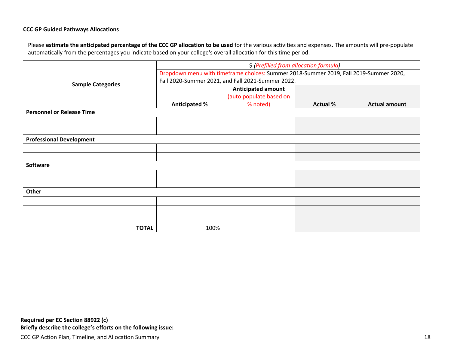## **CCC GP Guided Pathways Allocations**

| Please estimate the anticipated percentage of the CCC GP allocation to be used for the various activities and expenses. The amounts will pre-populate<br>automatically from the percentages you indicate based on your college's overall allocation for this time period. |                                                                                       |                                                      |                 |                      |  |  |
|---------------------------------------------------------------------------------------------------------------------------------------------------------------------------------------------------------------------------------------------------------------------------|---------------------------------------------------------------------------------------|------------------------------------------------------|-----------------|----------------------|--|--|
|                                                                                                                                                                                                                                                                           |                                                                                       | \$ (Prefilled from allocation formula)               |                 |                      |  |  |
|                                                                                                                                                                                                                                                                           | Dropdown menu with timeframe choices: Summer 2018-Summer 2019, Fall 2019-Summer 2020, |                                                      |                 |                      |  |  |
| <b>Sample Categories</b>                                                                                                                                                                                                                                                  | Fall 2020-Summer 2021, and Fall 2021-Summer 2022.                                     |                                                      |                 |                      |  |  |
|                                                                                                                                                                                                                                                                           |                                                                                       | <b>Anticipated amount</b><br>(auto populate based on |                 |                      |  |  |
|                                                                                                                                                                                                                                                                           | <b>Anticipated %</b>                                                                  | % noted)                                             | <b>Actual %</b> | <b>Actual amount</b> |  |  |
| <b>Personnel or Release Time</b>                                                                                                                                                                                                                                          |                                                                                       |                                                      |                 |                      |  |  |
|                                                                                                                                                                                                                                                                           |                                                                                       |                                                      |                 |                      |  |  |
|                                                                                                                                                                                                                                                                           |                                                                                       |                                                      |                 |                      |  |  |
| <b>Professional Development</b>                                                                                                                                                                                                                                           |                                                                                       |                                                      |                 |                      |  |  |
|                                                                                                                                                                                                                                                                           |                                                                                       |                                                      |                 |                      |  |  |
|                                                                                                                                                                                                                                                                           |                                                                                       |                                                      |                 |                      |  |  |
| <b>Software</b>                                                                                                                                                                                                                                                           |                                                                                       |                                                      |                 |                      |  |  |
|                                                                                                                                                                                                                                                                           |                                                                                       |                                                      |                 |                      |  |  |
|                                                                                                                                                                                                                                                                           |                                                                                       |                                                      |                 |                      |  |  |
| Other                                                                                                                                                                                                                                                                     |                                                                                       |                                                      |                 |                      |  |  |
|                                                                                                                                                                                                                                                                           |                                                                                       |                                                      |                 |                      |  |  |
|                                                                                                                                                                                                                                                                           |                                                                                       |                                                      |                 |                      |  |  |
|                                                                                                                                                                                                                                                                           |                                                                                       |                                                      |                 |                      |  |  |
| <b>TOTAL</b>                                                                                                                                                                                                                                                              | 100%                                                                                  |                                                      |                 |                      |  |  |